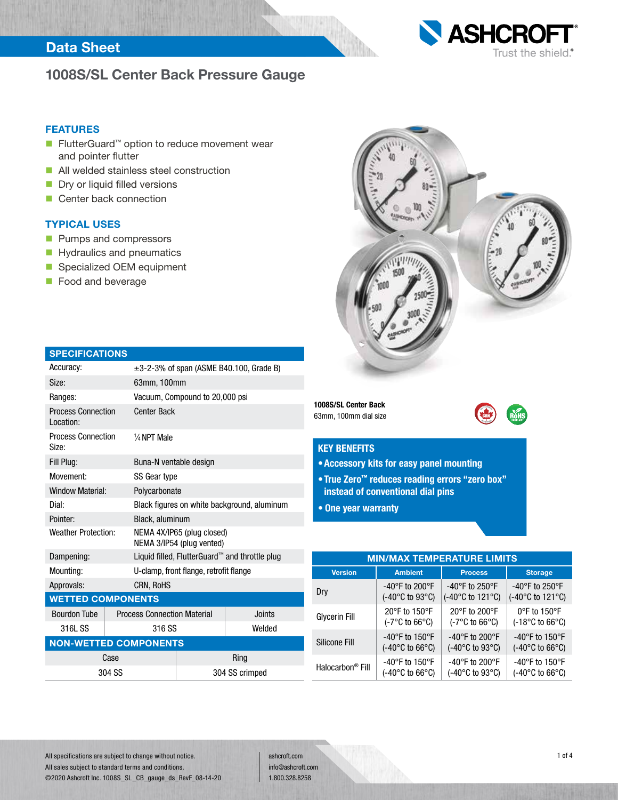## Data Sheet



# 1008S/SL Center Back Pressure Gauge

### FEATURES

- FlutterGuard<sup>™</sup> option to reduce movement wear and pointer flutter
- **All welded stainless steel construction**
- Dry or liquid filled versions
- Center back connection

## TYPICAL USES

- **Pumps and compressors**
- Hydraulics and pneumatics
- Specialized OEM equipment
- **Food and beverage**

| <b>SPECIFICATIONS</b>                  |        |                                                         |                                |        |  |  |  |  |
|----------------------------------------|--------|---------------------------------------------------------|--------------------------------|--------|--|--|--|--|
| Accuracy:                              |        | $\pm$ 3-2-3% of span (ASME B40.100, Grade B)            |                                |        |  |  |  |  |
| Size:                                  |        | 63mm, 100mm                                             |                                |        |  |  |  |  |
| Ranges:                                |        |                                                         | Vacuum, Compound to 20,000 psi |        |  |  |  |  |
| <b>Process Connection</b><br>Location: |        | <b>Center Back</b>                                      |                                |        |  |  |  |  |
| <b>Process Connection</b><br>Size:     |        | $\frac{1}{4}$ NPT Male                                  |                                |        |  |  |  |  |
| Fill Plug:                             |        | Buna-N ventable design                                  |                                |        |  |  |  |  |
| Movement:                              |        | SS Gear type                                            |                                |        |  |  |  |  |
| <b>Window Material:</b>                |        | Polycarbonate                                           |                                |        |  |  |  |  |
| Dial:                                  |        | Black figures on white background, aluminum             |                                |        |  |  |  |  |
| Pointer:                               |        | Black, aluminum                                         |                                |        |  |  |  |  |
| <b>Weather Protection:</b>             |        | NEMA 4X/IP65 (plug closed)<br>NEMA 3/IP54 (plug vented) |                                |        |  |  |  |  |
| Dampening:                             |        | Liquid filled, FlutterGuard™ and throttle plug          |                                |        |  |  |  |  |
| Mounting:                              |        | U-clamp, front flange, retrofit flange                  |                                |        |  |  |  |  |
| Approvals:                             |        | <b>CRN, RoHS</b>                                        |                                |        |  |  |  |  |
| <b>WETTED COMPONENTS</b>               |        |                                                         |                                |        |  |  |  |  |
| <b>Bourdon Tube</b>                    |        | <b>Process Connection Material</b>                      |                                | Joints |  |  |  |  |
| 316L SS                                |        | 316 SS                                                  |                                | Welded |  |  |  |  |
| <b>NON-WETTED COMPONENTS</b>           |        |                                                         |                                |        |  |  |  |  |
| Case                                   |        | Ring                                                    |                                |        |  |  |  |  |
|                                        | 304 SS |                                                         | 304 SS crimped                 |        |  |  |  |  |



### KEY BENEFITS

63mm, 100mm dial size

- •Accessory kits for easy panel mounting
- •True Zero™ reduces reading errors "zero box" instead of conventional dial pins
- One year warranty

| <b>MIN/MAX TEMPERATURE LIMITS</b> |                                         |                                         |                                          |  |  |  |  |  |  |
|-----------------------------------|-----------------------------------------|-----------------------------------------|------------------------------------------|--|--|--|--|--|--|
| <b>Version</b>                    | <b>Ambient</b>                          | <b>Process</b>                          | <b>Storage</b>                           |  |  |  |  |  |  |
| Dry                               | -40°F to 200°F                          | -40°F to 250°F                          | -40°F to 250°F                           |  |  |  |  |  |  |
|                                   | (-40°C to 93°C)                         | (-40°C to 121°C)                        | (-40°C to 121°C)                         |  |  |  |  |  |  |
| <b>Glycerin Fill</b>              | 20°F to 150°F                           | 20°F to 200°F                           | $0^{\circ}$ F to 150 $^{\circ}$ F        |  |  |  |  |  |  |
|                                   | $(-7^{\circ}C \text{ to } 66^{\circ}C)$ | $(-7^{\circ}C \text{ to } 66^{\circ}C)$ | $(-18^{\circ}C \text{ to } 66^{\circ}C)$ |  |  |  |  |  |  |
| Silicone Fill                     | -40 $\degree$ F to 150 $\degree$ F      | -40°F to 200°F                          | -40°F to 150°F                           |  |  |  |  |  |  |
|                                   | $(-40^{\circ}$ C to 66 $^{\circ}$ C)    | (-40°C to 93°C)                         | $(-40^{\circ}C \text{ to } 66^{\circ}C)$ |  |  |  |  |  |  |
| Halocarbon <sup>®</sup> Fill      | -40°F to 150°F                          | -40°F to 200°F                          | -40°F to 150°F                           |  |  |  |  |  |  |
|                                   | $(-40^{\circ}$ C to 66 $^{\circ}$ C)    | $(-40^{\circ}$ C to 93 $^{\circ}$ C)    | $(-40^{\circ}$ C to 66 $^{\circ}$ C)     |  |  |  |  |  |  |

ashcroft.com info@ashcroft.com 1.800.328.8258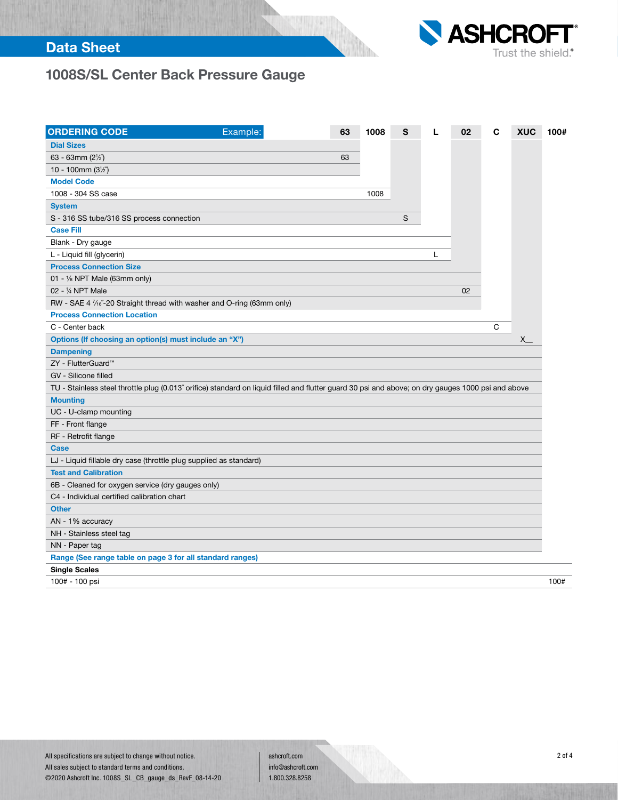## Data Sheet



# 1008S/SL Center Back Pressure Gauge

| <b>ORDERING CODE</b>                                                                                                                               | Example: | 63 | 1008 | S |   | 02 | C | <b>XUC</b> | 100# |
|----------------------------------------------------------------------------------------------------------------------------------------------------|----------|----|------|---|---|----|---|------------|------|
| <b>Dial Sizes</b>                                                                                                                                  |          |    |      |   |   |    |   |            |      |
| 63 - 63mm (2½″)                                                                                                                                    |          | 63 |      |   |   |    |   |            |      |
| 10 - 100mm $(3\frac{1}{2})$                                                                                                                        |          |    |      |   |   |    |   |            |      |
| <b>Model Code</b>                                                                                                                                  |          |    |      |   |   |    |   |            |      |
| 1008 - 304 SS case                                                                                                                                 |          |    | 1008 |   |   |    |   |            |      |
| <b>System</b>                                                                                                                                      |          |    |      |   |   |    |   |            |      |
| S - 316 SS tube/316 SS process connection                                                                                                          |          |    |      | S |   |    |   |            |      |
| <b>Case Fill</b>                                                                                                                                   |          |    |      |   |   |    |   |            |      |
| Blank - Dry gauge                                                                                                                                  |          |    |      |   |   |    |   |            |      |
| L - Liquid fill (glycerin)                                                                                                                         |          |    |      |   | L |    |   |            |      |
| <b>Process Connection Size</b>                                                                                                                     |          |    |      |   |   |    |   |            |      |
| 01 - $\frac{1}{8}$ NPT Male (63mm only)                                                                                                            |          |    |      |   |   |    |   |            |      |
| 02 - 1/4 NPT Male                                                                                                                                  |          |    |      |   |   | 02 |   |            |      |
| RW - SAE 4 1/16"-20 Straight thread with washer and O-ring (63mm only)                                                                             |          |    |      |   |   |    |   |            |      |
| <b>Process Connection Location</b>                                                                                                                 |          |    |      |   |   |    |   |            |      |
| C - Center back                                                                                                                                    |          |    |      |   |   |    | C |            |      |
| Options (If choosing an option(s) must include an "X")                                                                                             |          |    |      |   |   |    |   | X.         |      |
| <b>Dampening</b>                                                                                                                                   |          |    |      |   |   |    |   |            |      |
| ZY - FlutterGuard™                                                                                                                                 |          |    |      |   |   |    |   |            |      |
| GV - Silicone filled                                                                                                                               |          |    |      |   |   |    |   |            |      |
| TU - Stainless steel throttle plug (0.013" orifice) standard on liquid filled and flutter guard 30 psi and above; on dry gauges 1000 psi and above |          |    |      |   |   |    |   |            |      |
| <b>Mounting</b>                                                                                                                                    |          |    |      |   |   |    |   |            |      |
| UC - U-clamp mounting                                                                                                                              |          |    |      |   |   |    |   |            |      |
| FF - Front flange                                                                                                                                  |          |    |      |   |   |    |   |            |      |
| RF - Retrofit flange                                                                                                                               |          |    |      |   |   |    |   |            |      |
| Case                                                                                                                                               |          |    |      |   |   |    |   |            |      |
| LJ - Liquid fillable dry case (throttle plug supplied as standard)                                                                                 |          |    |      |   |   |    |   |            |      |
| <b>Test and Calibration</b>                                                                                                                        |          |    |      |   |   |    |   |            |      |
| 6B - Cleaned for oxygen service (dry gauges only)                                                                                                  |          |    |      |   |   |    |   |            |      |
| C4 - Individual certified calibration chart                                                                                                        |          |    |      |   |   |    |   |            |      |
| <b>Other</b>                                                                                                                                       |          |    |      |   |   |    |   |            |      |
| AN - 1% accuracy                                                                                                                                   |          |    |      |   |   |    |   |            |      |
| NH - Stainless steel tag                                                                                                                           |          |    |      |   |   |    |   |            |      |
| NN - Paper tag                                                                                                                                     |          |    |      |   |   |    |   |            |      |
| Range (See range table on page 3 for all standard ranges)                                                                                          |          |    |      |   |   |    |   |            |      |
| <b>Single Scales</b>                                                                                                                               |          |    |      |   |   |    |   |            |      |
| 100# - 100 psi                                                                                                                                     |          |    |      |   |   |    |   |            | 100# |

ashcroft.com info@ashcroft.com 1.800.328.8258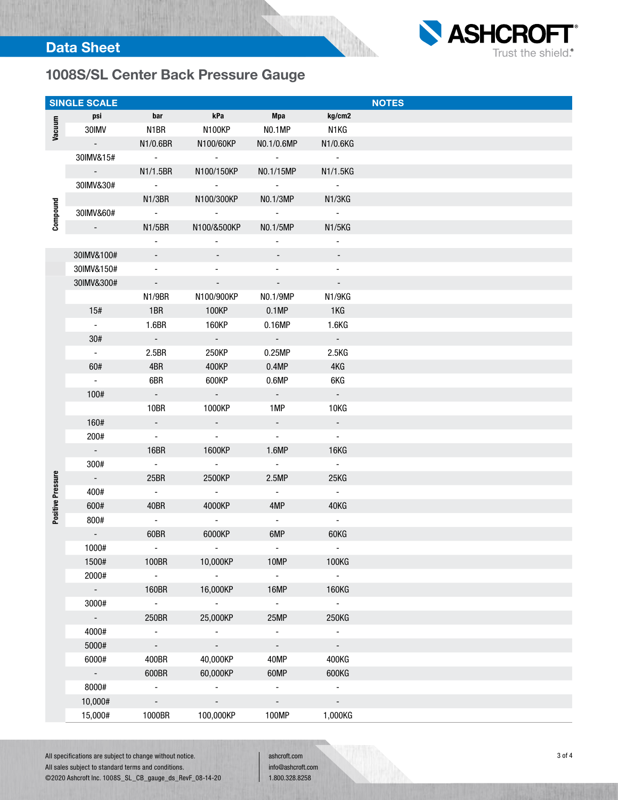

|                   | <b>SINGLE SCALE</b>       |                          |                          |                          |                          | <b>NOTES</b> |
|-------------------|---------------------------|--------------------------|--------------------------|--------------------------|--------------------------|--------------|
|                   | psi                       | bar                      | kPa                      | Mpa                      | kg/cm2                   |              |
| Vacuum            | 30IMV                     | N1BR                     | N100KP                   | NO.1MP                   | N1KG                     |              |
|                   | $\sim$ $ \sim$            | N1/0.6BR                 | N100/60KP                | NO.1/0.6MP               | N1/0.6KG                 |              |
|                   | 30IMV&15#                 | $\sim 100$               | $\sim$ $-$               | $\sim 100$               | $\sim 100$               |              |
|                   | $\sim 10^{-10}$ m $^{-1}$ | N1/1.5BR                 | N100/150KP               | NO.1/15MP                | N1/1.5KG                 |              |
|                   | 30IMV&30#                 | $\sim$                   | $\sim$                   | $\sim 100$               | $\sim 100$               |              |
|                   |                           |                          |                          |                          |                          |              |
|                   |                           | N1/3BR                   | N100/300KP               | NO.1/3MP                 | N1/3KG                   |              |
| Compound          | 30IMV&60#                 | $\sim 100$ km s $^{-1}$  | $\Delta \sim 10^4$       | $\sim 100$ km s $^{-1}$  | $\sim 100$               |              |
|                   | $\sim$                    | N1/5BR                   | N100/&500KP              | NO.1/5MP                 | N1/5KG                   |              |
|                   |                           | $\blacksquare$           | $\overline{\phantom{a}}$ | $\overline{\phantom{a}}$ | $\blacksquare$           |              |
|                   | 30IMV&100#                |                          |                          |                          |                          |              |
|                   | 30IMV&150#                | -                        | -                        | -                        | $\overline{\phantom{a}}$ |              |
|                   | 30IMV&300#                | $\sim$                   | $\sim 100$               | $\sim 100$               | $\sim$                   |              |
|                   |                           | N1/9BR                   | N100/900KP               | NO.1/9MP                 | N1/9KG                   |              |
|                   | 15#                       | 1BR                      | 100KP                    | 0.1MP                    | 1KG                      |              |
|                   | $\sim$                    | 1.6BR                    | 160KP                    | 0.16MP                   | 1.6 <sub>K</sub> G       |              |
|                   | 30#                       | $\sigma_{\rm{max}}$      | $\sigma_{\rm{max}}$      | $\sigma_{\rm{eff}}$      | $\sim$                   |              |
|                   | $\sim$                    | 2.5BR                    | 250KP                    | 0.25MP                   | 2.5KG                    |              |
|                   | 60#                       | 4BR                      | 400KP                    | 0.4MP                    | 4KG                      |              |
|                   | $\sim$                    | 6BR                      | 600KP                    | 0.6MP                    | 6KG                      |              |
|                   |                           |                          |                          |                          |                          |              |
|                   | 100#                      | $\sim$                   | $\sim 10^{-1}$           | $\sim$                   | $\sim$                   |              |
|                   |                           | 10BR                     | 1000KP                   | 1MP                      | 10KG                     |              |
|                   | 160#                      | $\sim$                   | $\sigma_{\rm{max}}$      | $\sim 100$               | $\sim$                   |              |
|                   | 200#                      | $\sim$                   | $\sim 10$                | $\sim$                   | $\sim$                   |              |
|                   | $\sim$ $-$                | <b>16BR</b>              | 1600KP                   | 1.6MP                    | 16KG                     |              |
|                   | 300#                      | $\sim$                   | $\sim 100$               | $\sim$ $ \sim$           | $\sim$ $-$               |              |
| Positive Pressure | $\sim$                    | 25BR                     | 2500KP                   | 2.5MP                    | 25KG                     |              |
|                   | 400#                      | $\omega_{\rm{eff}}$      | $\sim 100$               | $\sim$ $-$               | $\sim$                   |              |
|                   | 600#                      | 40BR                     | 4000KP                   | 4MP                      | 40KG                     |              |
|                   | 800#                      | $\sim$                   | $\sim$                   | $\sim$                   | $\sim$                   |              |
|                   | $\sim$                    | 60BR                     | 6000KP                   | 6MP                      | 60KG                     |              |
|                   | 1000#                     | $\overline{\phantom{a}}$ |                          | $\overline{\phantom{a}}$ |                          |              |
|                   |                           |                          |                          |                          |                          |              |
|                   | 1500#                     | 100BR                    | 10,000KP                 | 10MP                     | 100KG                    |              |
|                   | 2000#                     | $\blacksquare$           | $\sim$                   | $\sim$                   | $\blacksquare$           |              |
|                   | $\sim$                    | 160BR                    | 16,000KP                 | 16MP                     | 160KG                    |              |
|                   | 3000#                     | $\sim$                   | $\blacksquare$           | $\sim$                   | $\omega_{\rm{eff}}$      |              |
|                   | $\sim$                    | 250BR                    | 25,000KP                 | 25MP                     | 250KG                    |              |
|                   | 4000#                     | $\omega$                 | $\sim$                   | $\Box$                   | $\omega_{\rm c}$         |              |
|                   | 5000#                     | $\omega_{\rm c}$         | $\overline{\phantom{a}}$ | $\overline{\phantom{a}}$ | $\sim$                   |              |
|                   | 6000#                     | 400BR                    | 40,000KP                 | 40MP                     | 400KG                    |              |
|                   | $\sim$                    | 600BR                    | 60,000KP                 | 60MP                     | 600KG                    |              |
|                   | 8000#                     | $\sim$                   | $\sim$                   | $\blacksquare$           | $\blacksquare$           |              |
|                   | 10,000#                   | $\omega_{\rm c}$         | $\mathbb{Z}^2$           | $\omega_{\rm c}$         | $\blacksquare$           |              |
|                   | 15,000#                   | 1000BR                   | 100,000KP                | 100MP                    | 1,000KG                  |              |
|                   |                           |                          |                          |                          |                          |              |

ashcroft.com info@ashcroft.com

1.800.328.8258